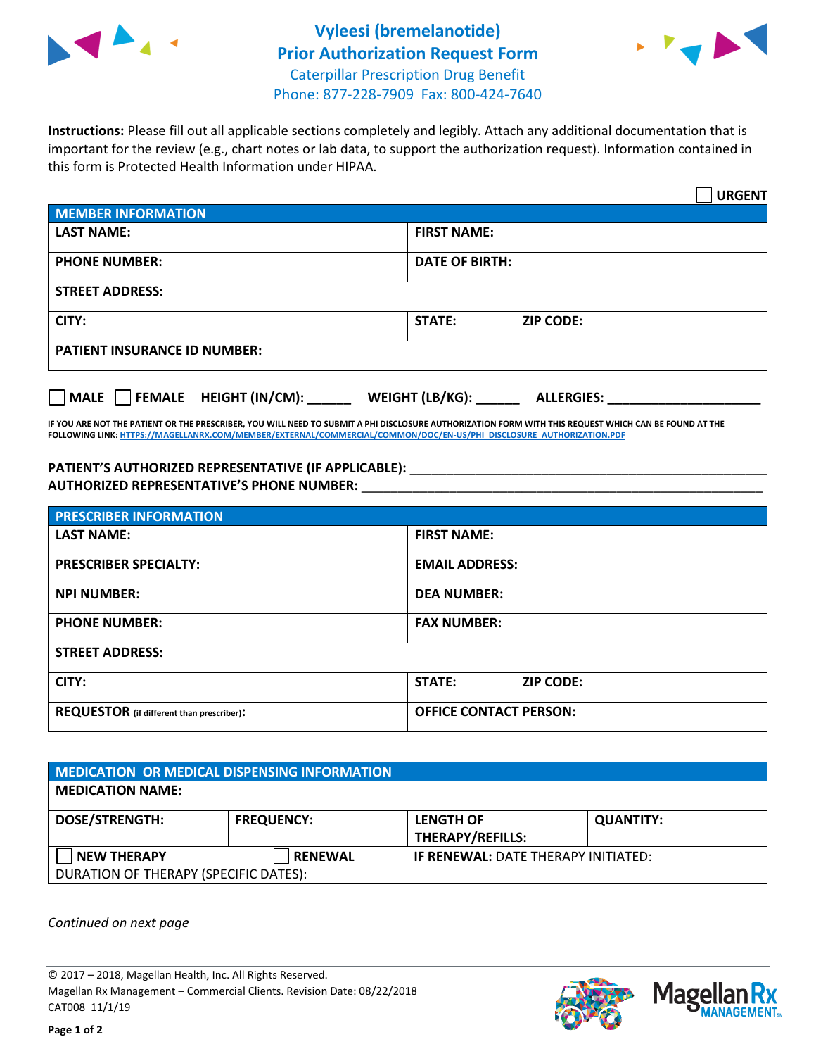



**Instructions:** Please fill out all applicable sections completely and legibly. Attach any additional documentation that is important for the review (e.g., chart notes or lab data, to support the authorization request). Information contained in this form is Protected Health Information under HIPAA.

|                                       | <b>URGENT</b>                        |  |  |  |
|---------------------------------------|--------------------------------------|--|--|--|
| <b>MEMBER INFORMATION</b>             |                                      |  |  |  |
| <b>LAST NAME:</b>                     | <b>FIRST NAME:</b>                   |  |  |  |
| <b>PHONE NUMBER:</b>                  | <b>DATE OF BIRTH:</b>                |  |  |  |
| <b>STREET ADDRESS:</b>                |                                      |  |  |  |
| CITY:                                 | <b>ZIP CODE:</b><br>STATE:           |  |  |  |
| <b>PATIENT INSURANCE ID NUMBER:</b>   |                                      |  |  |  |
| FEMALE HEIGHT (IN/CM):<br><b>MALE</b> | WEIGHT (LB/KG):<br><b>ALLERGIES:</b> |  |  |  |

**IF YOU ARE NOT THE PATIENT OR THE PRESCRIBER, YOU WILL NEED TO SUBMIT A PHI DISCLOSURE AUTHORIZATION FORM WITH THIS REQUEST WHICH CAN BE FOUND AT THE FOLLOWING LINK[: HTTPS://MAGELLANRX.COM/MEMBER/EXTERNAL/COMMERCIAL/COMMON/DOC/EN-US/PHI\\_DISCLOSURE\\_AUTHORIZATION.PDF](https://magellanrx.com/member/external/commercial/common/doc/en-us/PHI_Disclosure_Authorization.pdf)**

PATIENT'S AUTHORIZED REPRESENTATIVE (IF APPLICABLE): \_\_\_\_\_\_\_\_\_\_\_\_\_\_\_\_\_\_\_\_\_\_\_\_\_\_\_ **AUTHORIZED REPRESENTATIVE'S PHONE NUMBER:** \_\_\_\_\_\_\_\_\_\_\_\_\_\_\_\_\_\_\_\_\_\_\_\_\_\_\_\_\_\_\_\_\_\_\_\_\_\_\_\_\_\_\_\_\_\_\_\_\_\_\_\_\_\_\_

| <b>PRESCRIBER INFORMATION</b>             |                               |  |  |  |
|-------------------------------------------|-------------------------------|--|--|--|
| <b>LAST NAME:</b>                         | <b>FIRST NAME:</b>            |  |  |  |
| <b>PRESCRIBER SPECIALTY:</b>              | <b>EMAIL ADDRESS:</b>         |  |  |  |
| <b>NPI NUMBER:</b>                        | <b>DEA NUMBER:</b>            |  |  |  |
| <b>PHONE NUMBER:</b>                      | <b>FAX NUMBER:</b>            |  |  |  |
| <b>STREET ADDRESS:</b>                    |                               |  |  |  |
| CITY:                                     | STATE:<br><b>ZIP CODE:</b>    |  |  |  |
| REQUESTOR (if different than prescriber): | <b>OFFICE CONTACT PERSON:</b> |  |  |  |

| <b>MEDICATION OR MEDICAL DISPENSING INFORMATION</b> |                   |                                            |                  |  |  |
|-----------------------------------------------------|-------------------|--------------------------------------------|------------------|--|--|
| <b>MEDICATION NAME:</b>                             |                   |                                            |                  |  |  |
| <b>DOSE/STRENGTH:</b>                               | <b>FREQUENCY:</b> | <b>LENGTH OF</b>                           | <b>QUANTITY:</b> |  |  |
|                                                     |                   | <b>THERAPY/REFILLS:</b>                    |                  |  |  |
| <b>NEW THERAPY</b>                                  | <b>RENEWAL</b>    | <b>IF RENEWAL: DATE THERAPY INITIATED:</b> |                  |  |  |
| DURATION OF THERAPY (SPECIFIC DATES):               |                   |                                            |                  |  |  |

*Continued on next page*

© 2017 – 2018, Magellan Health, Inc. All Rights Reserved. Magellan Rx Management – Commercial Clients. Revision Date: 08/22/2018 CAT008 11/1/19